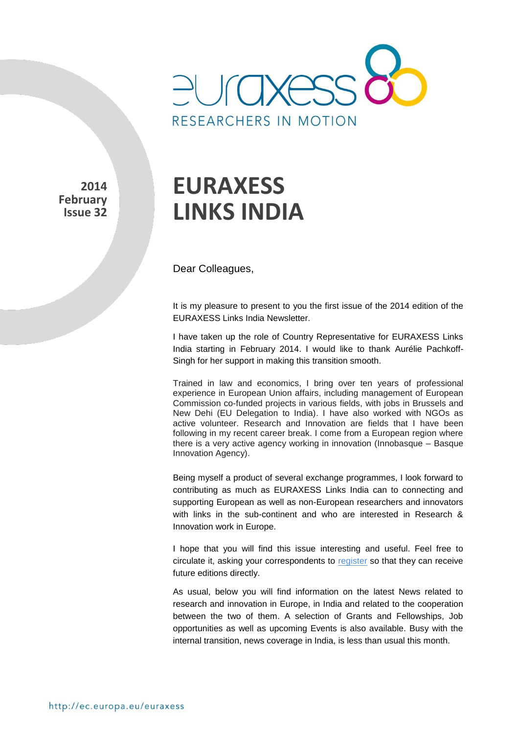

**2014 February Issue 32** 

# **EURAXESS LINKS INDIA**

Dear Colleagues,

It is my pleasure to present to you the first issue of the 2014 edition of the EURAXESS Links India Newsletter.

I have taken up the role of Country Representative for EURAXESS Links India starting in February 2014. I would like to thank Aurélie Pachkoff-Singh for her support in making this transition smooth.

Trained in law and economics, I bring over ten years of professional experience in European Union affairs, including management of European Commission co-funded projects in various fields, with jobs in Brussels and New Dehi (EU Delegation to India). I have also worked with NGOs as active volunteer. Research and Innovation are fields that I have been following in my recent career break. I come from a European region where there is a very active agency working in innovation (Innobasque – Basque Innovation Agency).

Being myself a product of several exchange programmes, I look forward to contributing as much as EURAXESS Links India can to connecting and supporting European as well as non-European researchers and innovators with links in the sub-continent and who are interested in Research & Innovation work in Europe.

I hope that you will find this issue interesting and useful. Feel free to circulate it, asking your correspondents to [register](http://europa.eu/sinapse/directaccess/euraxess-links-india/join) so that they can receive future editions directly.

As usual, below you will find information on the latest News related to research and innovation in Europe, in India and related to the cooperation between the two of them. A selection of Grants and Fellowships, Job opportunities as well as upcoming Events is also available. Busy with the internal transition, news coverage in India, is less than usual this month.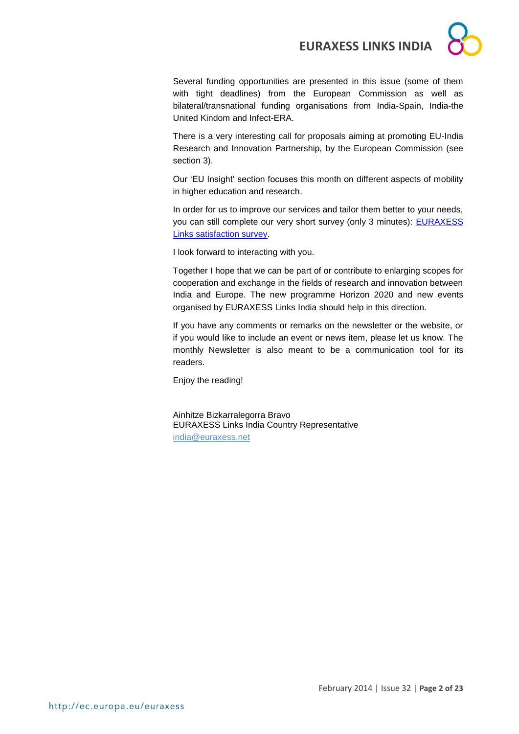

Several funding opportunities are presented in this issue (some of them with tight deadlines) from the European Commission as well as bilateral/transnational funding organisations from India-Spain, India-the United Kindom and Infect-ERA.

There is a very interesting call for proposals aiming at promoting EU-India Research and Innovation Partnership, by the European Commission (see section 3).

Our 'EU Insight' section focuses this month on different aspects of mobility in higher education and research.

In order for us to improve our services and tailor them better to your needs, you can still complete our very short survey (only 3 minutes): **EURAXESS** [Links satisfaction survey.](https://secure.pt-dlr.de/pt-survey/index.php?sid=15663&lang=en)

I look forward to interacting with you.

Together I hope that we can be part of or contribute to enlarging scopes for cooperation and exchange in the fields of research and innovation between India and Europe. The new programme Horizon 2020 and new events organised by EURAXESS Links India should help in this direction.

If you have any comments or remarks on the newsletter or the website, or if you would like to include an event or news item, please let us know. The monthly Newsletter is also meant to be a communication tool for its readers.

Enjoy the reading!

Ainhitze Bizkarralegorra Bravo EURAXESS Links India Country Representative [india@euraxess.net](mailto:aurelie.pachkoff@euraxess.net)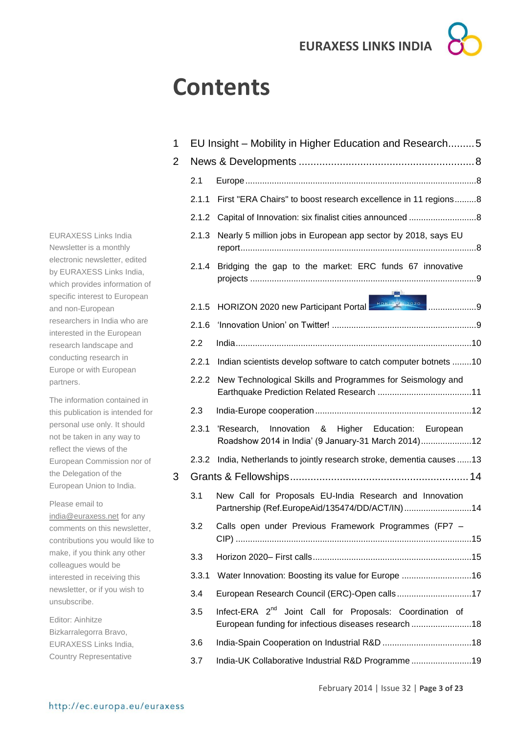## **Contents**

|                                                                                            |   | 2.1   | Europe                            |
|--------------------------------------------------------------------------------------------|---|-------|-----------------------------------|
|                                                                                            |   | 2.1.1 | First "ERA CI                     |
|                                                                                            |   |       | 2.1.2 Capital of Inn              |
| <b>EURAXESS Links India</b><br>Newsletter is a monthly                                     |   | 2.1.3 | Nearly 5 milli<br>report          |
| electronic newsletter, edited<br>by EURAXESS Links India,<br>which provides information of |   | 2.1.4 | Bridging the<br>projects          |
| specific interest to European<br>and non-European                                          |   | 2.1.5 | HORIZON 20                        |
| researchers in India who are<br>interested in the European                                 |   | 2.1.6 | 'Innovation U                     |
| research landscape and                                                                     |   | 2.2   | India                             |
| conducting research in<br>Europe or with European                                          |   | 2.2.1 | Indian scienti                    |
| partners.<br>The information contained in                                                  |   |       | 2.2.2 New Technol<br>Earthquake P |
| this publication is intended for                                                           |   | 2.3   | India-Europe                      |
| personal use only. It should<br>not be taken in any way to<br>reflect the views of the     | 3 | 2.3.1 | 'Research,<br>Roadshow 20         |
| European Commission nor of                                                                 |   | 2.3.2 | India, Netherl                    |
| the Delegation of the<br>European Union to India.                                          |   |       | <b>Grants &amp; Fellows</b>       |
| Please email to<br>india@euraxess.net for any                                              |   | 3.1   | New Call for<br>Partnership (F    |
| comments on this newsletter,<br>contributions you would like to                            |   | 3.2   | Calls open u<br>CIP)              |
| make, if you think any other<br>colleagues would be                                        |   | 3.3   | Horizon 2020                      |
| interested in receiving this                                                               |   | 3.3.1 | Water Innova                      |
| newsletter, or if you wish to<br>unsubscribe.                                              |   | 3.4   | European Res                      |
| Editor: Ainhitze<br>Bizkarralegorra Bravo,                                                 |   | 3.5   | Infect-ERA 2<br>European fun      |
| EURAXESS Links India,                                                                      |   | 3.6   | India-Spain C                     |
| <b>Country Representative</b>                                                              |   | 3.7   | India-UK Colla                    |
|                                                                                            |   |       |                                   |

| 1 |       | EU Insight – Mobility in Higher Education and Research5                                                                      |
|---|-------|------------------------------------------------------------------------------------------------------------------------------|
| 2 |       |                                                                                                                              |
|   | 2.1   |                                                                                                                              |
|   | 2.1.1 | First "ERA Chairs" to boost research excellence in 11 regions8                                                               |
|   | 2.1.2 |                                                                                                                              |
|   | 2.1.3 | Nearly 5 million jobs in European app sector by 2018, says EU                                                                |
|   | 2.1.4 | Bridging the gap to the market: ERC funds 67 innovative                                                                      |
|   | 2.1.5 | HORIZON 2020 new Participant Portal HORIZON 2020                                                                             |
|   | 2.1.6 |                                                                                                                              |
|   | 2.2   |                                                                                                                              |
|   | 2.2.1 | Indian scientists develop software to catch computer botnets 10                                                              |
|   | 2.2.2 | New Technological Skills and Programmes for Seismology and                                                                   |
|   | 2.3   |                                                                                                                              |
|   | 2.3.1 | Higher Education: European<br>Innovation &<br>'Research,<br>Roadshow 2014 in India' (9 January-31 March 2014)12              |
|   | 2.3.2 | India, Netherlands to jointly research stroke, dementia causes 13                                                            |
| 3 |       |                                                                                                                              |
|   | 3.1   | New Call for Proposals EU-India Research and Innovation<br>Partnership (Ref.EuropeAid/135474/DD/ACT/IN)14                    |
|   | 3.2   | Calls open under Previous Framework Programmes (FP7 -                                                                        |
|   | 3.3   |                                                                                                                              |
|   | 3.3.1 | Water Innovation: Boosting its value for Europe 16                                                                           |
|   | 3.4   | European Research Council (ERC)-Open calls17                                                                                 |
|   | 3.5   | Infect-ERA 2 <sup>nd</sup> Joint Call for Proposals: Coordination of<br>European funding for infectious diseases research 18 |
|   | 3.6   |                                                                                                                              |
|   | 3.7   | India-UK Collaborative Industrial R&D Programme19                                                                            |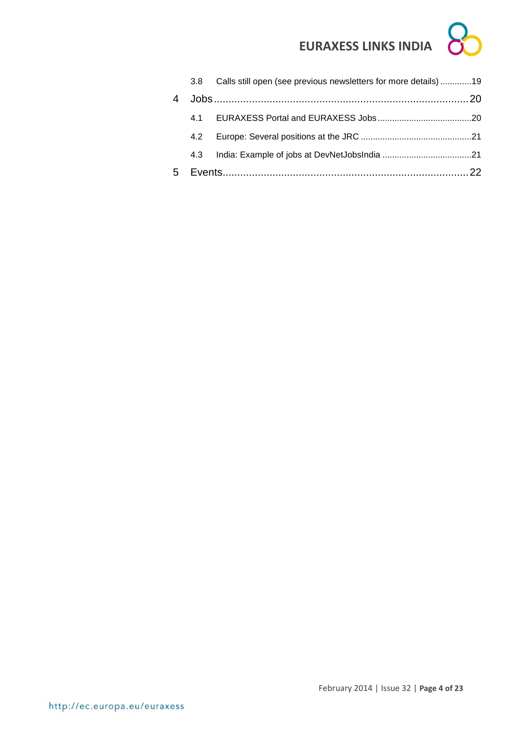|   | 3.8 | Calls still open (see previous newsletters for more details)19 |  |
|---|-----|----------------------------------------------------------------|--|
| 4 |     |                                                                |  |
|   |     |                                                                |  |
|   | 4.2 |                                                                |  |
|   | 4.3 |                                                                |  |
| 5 |     |                                                                |  |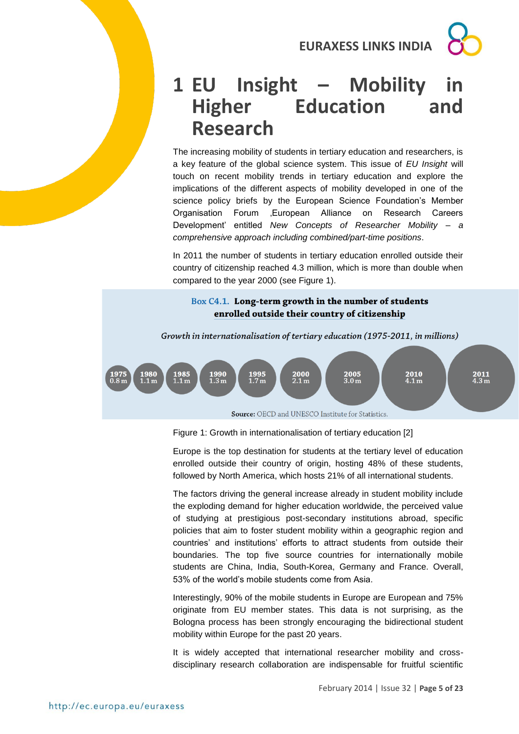

## <span id="page-4-0"></span>**1 EU Insight – Mobility Higher Education and Research**

The increasing mobility of students in tertiary education and researchers, is a key feature of the global science system. This issue of *EU Insight* will touch on recent mobility trends in tertiary education and explore the implications of the different aspects of mobility developed in one of the science policy briefs by the European Science Foundation's Member Organisation Forum , European Alliance on Research Careers Development' entitled *New Concepts of Researcher Mobility – a comprehensive approach including combined/part-time positions*.

In 2011 the number of students in tertiary education enrolled outside their country of citizenship reached 4.3 million, which is more than double when compared to the year 2000 (see Figure 1).

### Box C4.1. Long-term growth in the number of students enrolled outside their country of citizenship



Source: OECD and UNESCO Institute for Statistics.

Figure 1: Growth in internationalisation of tertiary education [2]

Europe is the top destination for students at the tertiary level of education enrolled outside their country of origin, hosting 48% of these students, followed by North America, which hosts 21% of all international students.

The factors driving the general increase already in student mobility include the exploding demand for higher education worldwide, the perceived value of studying at prestigious post-secondary institutions abroad, specific policies that aim to foster student mobility within a geographic region and countries' and institutions' efforts to attract students from outside their boundaries. The top five source countries for internationally mobile students are China, India, South-Korea, Germany and France. Overall, 53% of the world's mobile students come from Asia.

Interestingly, 90% of the mobile students in Europe are European and 75% originate from EU member states. This data is not surprising, as the Bologna process has been strongly encouraging the bidirectional student mobility within Europe for the past 20 years.

It is widely accepted that international researcher mobility and crossdisciplinary research collaboration are indispensable for fruitful scientific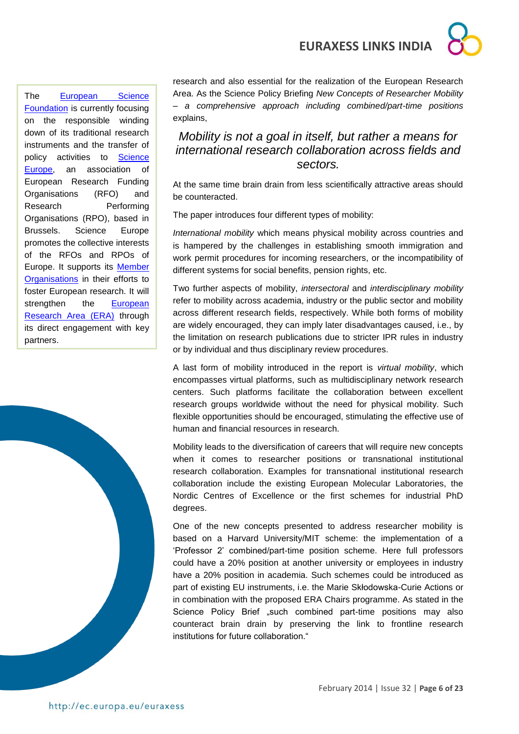The [European Science](http://www.esf.org/esf-today/recent-developments.html)  [Foundation](http://www.esf.org/esf-today/recent-developments.html) is currently focusing on the responsible winding down of its traditional research instruments and the transfer of policy activities to [Science](http://www.scienceeurope.org/)  [Europe,](http://www.scienceeurope.org/) an association of European Research Funding Organisations (RFO) and Research Performing Organisations (RPO), based in Brussels. Science Europe promotes the collective interests of the RFOs and RPOs of Europe. It supports its [Member](http://www.scienceeurope.org/index.php?page=member-organisations)  [Organisations](http://www.scienceeurope.org/index.php?page=member-organisations) in their efforts to foster European research. It will strengthen the European [Research Area \(ERA\)](http://ec.europa.eu/research/era/index_en.htm) through its direct engagement with key partners.



research and also essential for the realization of the European Research Area. As the Science Policy Briefing *New Concepts of Researcher Mobility – a comprehensive approach including combined/part-time positions* explains,

## *Mobility is not a goal in itself, but rather a means for international research collaboration across fields and sectors.*

At the same time brain drain from less scientifically attractive areas should be counteracted.

The paper introduces four different types of mobility:

*International mobility* which means physical mobility across countries and is hampered by the challenges in establishing smooth immigration and work permit procedures for incoming researchers, or the incompatibility of different systems for social benefits, pension rights, etc.

Two further aspects of mobility, *intersectoral* and *interdisciplinary mobility* refer to mobility across academia, industry or the public sector and mobility across different research fields, respectively. While both forms of mobility are widely encouraged, they can imply later disadvantages caused, i.e., by the limitation on research publications due to stricter IPR rules in industry or by individual and thus disciplinary review procedures.

A last form of mobility introduced in the report is *virtual mobility*, which encompasses virtual platforms, such as multidisciplinary network research centers. Such platforms facilitate the collaboration between excellent research groups worldwide without the need for physical mobility. Such flexible opportunities should be encouraged, stimulating the effective use of human and financial resources in research.

Mobility leads to the diversification of careers that will require new concepts when it comes to researcher positions or transnational institutional research collaboration. Examples for transnational institutional research collaboration include the existing European Molecular Laboratories, the Nordic Centres of Excellence or the first schemes for industrial PhD degrees.

One of the new concepts presented to address researcher mobility is based on a Harvard University/MIT scheme: the implementation of a 'Professor 2' combined/part-time position scheme. Here full professors could have a 20% position at another university or employees in industry have a 20% position in academia. Such schemes could be introduced as part of existing EU instruments, i.e. the Marie Skłodowska-Curie Actions or in combination with the proposed ERA Chairs programme. As stated in the Science Policy Brief "such combined part-time positions may also counteract brain drain by preserving the link to frontline research institutions for future collaboration."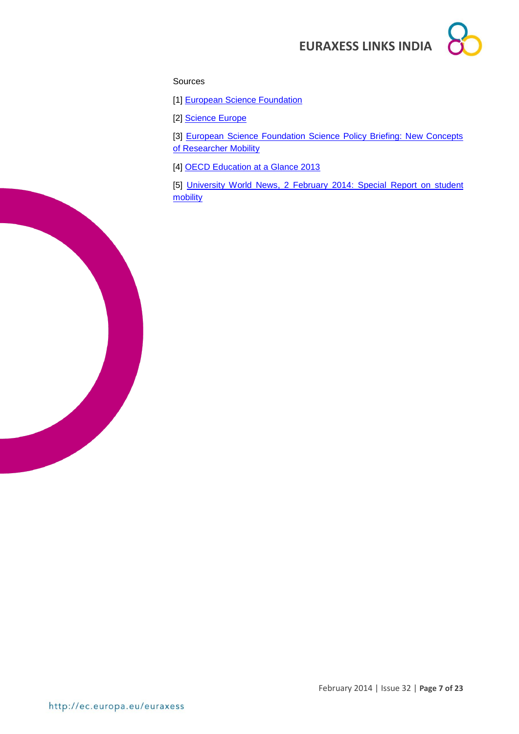#### Sources

[1] **European Science Foundation** 

[2] [Science Europe](http://www.scienceeurope.org/)

[3] European Science Foundation Science Policy Briefing: New Concepts [of Researcher Mobility](http://www.esf.org/fileadmin/Public_documents/Publications/spb49_ResearcherMobility.pdf)

[4] [OECD Education at a Glance 2013](http://www.oecd.org/edu/eag2013%20%28eng%29--FINAL%2020%20June%202013.pdf)

[5] University World News, 2 February 2014: Special Report on student [mobility](http://www.universityworldnews.com/publications/archives.php?mode=archive&pub=1&issueno=305&format=html)

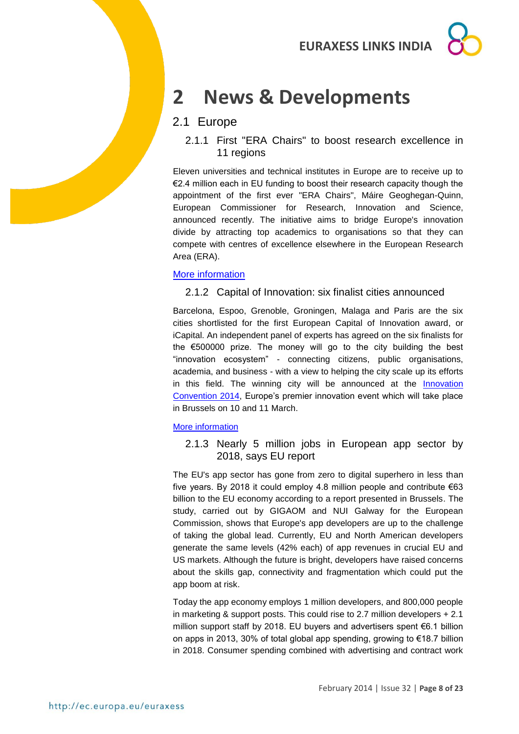## <span id="page-7-0"></span>**2 News & Developments**

## <span id="page-7-1"></span>2.1 Europe

<span id="page-7-2"></span>2.1.1 First "ERA Chairs" to boost research excellence in 11 regions

Eleven universities and technical institutes in Europe are to receive up to €2.4 million each in EU funding to boost their research capacity though the appointment of the first ever "ERA Chairs", Máire Geoghegan-Quinn, European Commissioner for Research, Innovation and Science, announced recently. The initiative aims to bridge Europe's innovation divide by attracting top academics to organisations so that they can compete with centres of excellence elsewhere in the European Research Area (ERA).

### [More information](http://europa.eu/rapid/press-release_IP-14-125_en.htm)

## <span id="page-7-3"></span>2.1.2 Capital of Innovation: six finalist cities announced

Barcelona, Espoo, Grenoble, Groningen, Malaga and Paris are the six cities shortlisted for the first European Capital of Innovation award, or iCapital. An independent panel of experts has agreed on the six finalists for the €500000 prize. The money will go to the city building the best "innovation ecosystem" - connecting citizens, public organisations, academia, and business - with a view to helping the city scale up its efforts in this field. The winning city will be announced at the [Innovation](http://ec.europa.eu/research/innovation-union/ic2014/index_en.cfm)  [Convention 2014,](http://ec.europa.eu/research/innovation-union/ic2014/index_en.cfm) Europe's premier innovation event which will take place in Brussels on 10 and 11 March.

### [More information](http://europa.eu/rapid/press-release_IP-14-67_en.htm)

<span id="page-7-4"></span>2.1.3 Nearly 5 million jobs in European app sector by 2018, says EU report

The EU's app sector has gone from zero to digital superhero in less than five years. By 2018 it could employ 4.8 million people and contribute €63 billion to the EU economy according to a report presented in Brussels. The study, carried out by GIGAOM and NUI Galway for the European Commission, shows that Europe's app developers are up to the challenge of taking the global lead. Currently, EU and North American developers generate the same levels (42% each) of app revenues in crucial EU and US markets. Although the future is bright, developers have raised concerns about the skills gap, connectivity and fragmentation which could put the app boom at risk.

Today the app economy employs 1 million developers, and 800,000 people in marketing & support posts. This could rise to 2.7 million developers + 2.1 million support staff by 2018. EU buyers and advertisers spent €6.1 billion on apps in 2013, 30% of total global app spending, growing to €18.7 billion in 2018. Consumer spending combined with advertising and contract work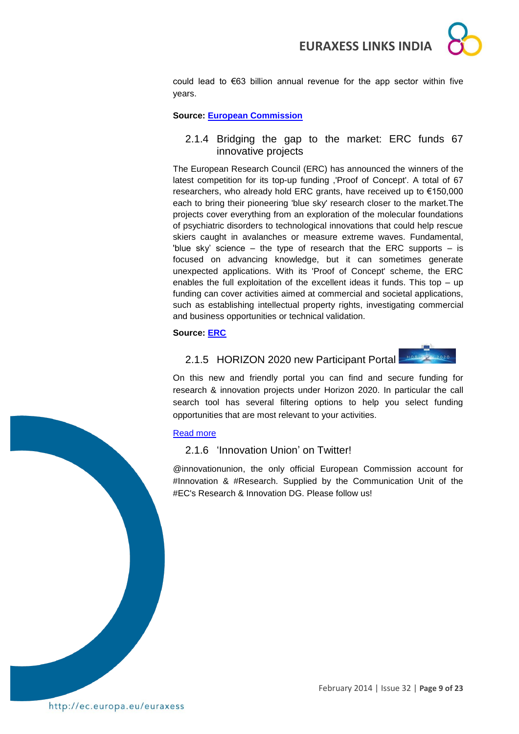

could lead to €63 billion annual revenue for the app sector within five years.

#### **Source: [European Commission](http://europa.eu/rapid/press-release_IP-14-145_en.htm)**

### <span id="page-8-0"></span>2.1.4 Bridging the gap to the market: ERC funds 67 innovative projects

The European Research Council (ERC) has announced the winners of the latest competition for its top-up funding ,'Proof of Concept'. A total of 67 researchers, who already hold ERC grants, have received up to €150,000 each to bring their pioneering 'blue sky' research closer to the market.The projects cover everything from an exploration of the molecular foundations of psychiatric disorders to technological innovations that could help rescue skiers caught in avalanches or measure extreme waves. Fundamental, 'blue sky' science  $-$  the type of research that the ERC supports  $-$  is focused on advancing knowledge, but it can sometimes generate unexpected applications. With its 'Proof of Concept' scheme, the ERC enables the full exploitation of the excellent ideas it funds. This top – up funding can cover activities aimed at commercial and societal applications, such as establishing intellectual property rights, investigating commercial and business opportunities or technical validation.

#### <span id="page-8-1"></span>**Source: [ERC](http://erc.europa.eu/sites/default/files/press_release/files/erc_pr_poc_2013_second_results.pdf)**

## 2.1.5 HORIZON 2020 new Participant Portal



On this new and friendly portal you can find and secure funding for research & innovation projects under Horizon 2020. In particular the call search tool has several filtering options to help you select funding opportunities that are most relevant to your activities.

#### [Read more](http://ec.europa.eu/research/participants/portal/desktop/en/home.html)

#### <span id="page-8-2"></span>2.1.6 'Innovation Union' on Twitter!

@innovationunion, the only official European Commission account for #Innovation & #Research. Supplied by the Communication Unit of the #EC's Research & Innovation DG. Please follow us!

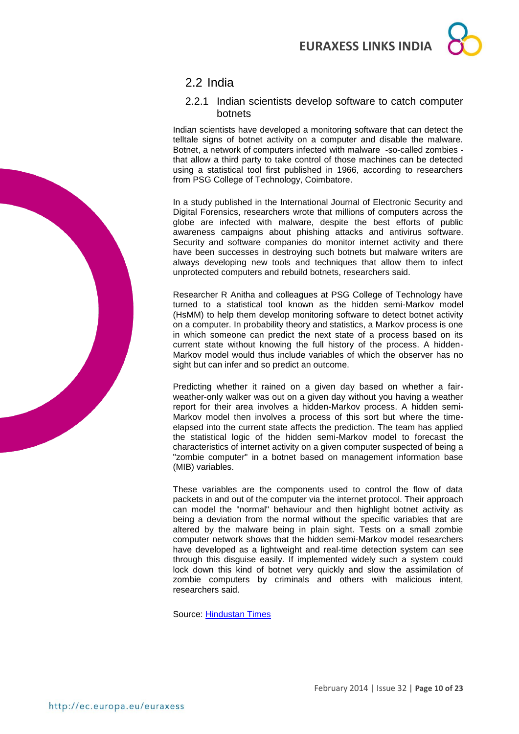## <span id="page-9-0"></span>2.2 India

### <span id="page-9-1"></span>2.2.1 Indian scientists develop software to catch computer botnets

Indian scientists have developed a monitoring software that can detect the telltale signs of botnet activity on a computer and disable the malware. Botnet, a network of computers infected with malware -so-called zombies that allow a third party to take control of those machines can be detected using a statistical tool first published in 1966, according to researchers from PSG College of Technology, Coimbatore.

In a study published in the International Journal of Electronic Security and Digital Forensics, researchers wrote that millions of computers across the globe are infected with malware, despite the best efforts of public awareness campaigns about phishing attacks and antivirus software. Security and software companies do monitor internet activity and there have been successes in destroying such botnets but malware writers are always developing new tools and techniques that allow them to infect unprotected computers and rebuild botnets, researchers said.

Researcher R Anitha and colleagues at PSG College of Technology have turned to a statistical tool known as the hidden semi-Markov model (HsMM) to help them develop monitoring software to detect botnet activity on a computer. In probability theory and statistics, a Markov process is one in which someone can predict the next state of a process based on its current state without knowing the full history of the process. A hidden-Markov model would thus include variables of which the observer has no sight but can infer and so predict an outcome.

Predicting whether it rained on a given day based on whether a fairweather-only walker was out on a given day without you having a weather report for their area involves a hidden-Markov process. A hidden semi-Markov model then involves a process of this sort but where the timeelapsed into the current state affects the prediction. The team has applied the statistical logic of the hidden semi-Markov model to forecast the characteristics of internet activity on a given computer suspected of being a "zombie computer" in a botnet based on management information base (MIB) variables.

These variables are the components used to control the flow of data packets in and out of the computer via the internet protocol. Their approach can model the "normal" behaviour and then highlight botnet activity as being a deviation from the normal without the specific variables that are altered by the malware being in plain sight. Tests on a small zombie computer network shows that the hidden semi-Markov model researchers have developed as a lightweight and real-time detection system can see through this disguise easily. If implemented widely such a system could lock down this kind of botnet very quickly and slow the assimilation of zombie computers by criminals and others with malicious intent, researchers said.

Source: [Hindustan Times](http://www.hindustantimes.com/news-feed/science/indian-scientists-develop-software-to-catch-computer-botnets/article1-1180591.aspx#sthash.7idQ1q3T.dpuf)

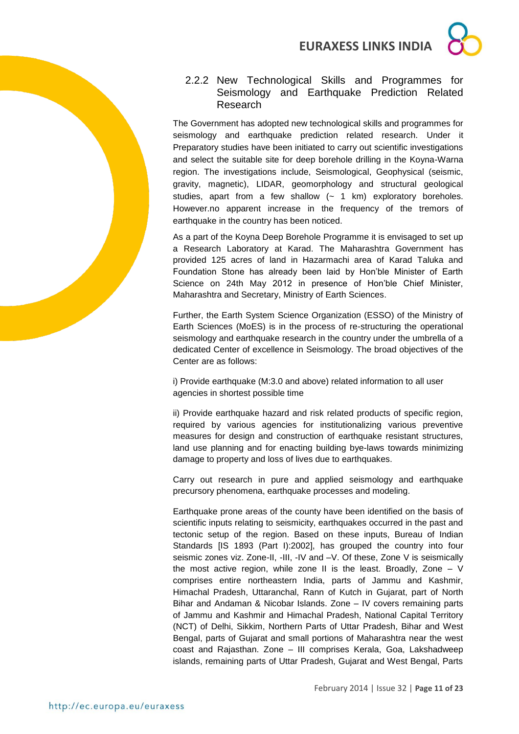

## <span id="page-10-0"></span>2.2.2 New Technological Skills and Programmes for Seismology and Earthquake Prediction Related Research

The Government has adopted new technological skills and programmes for seismology and earthquake prediction related research. Under it Preparatory studies have been initiated to carry out scientific investigations and select the suitable site for deep borehole drilling in the Koyna-Warna region. The investigations include, Seismological, Geophysical (seismic, gravity, magnetic), LIDAR, geomorphology and structural geological studies, apart from a few shallow  $(-1)$  km) exploratory boreholes. However.no apparent increase in the frequency of the tremors of earthquake in the country has been noticed.

As a part of the Koyna Deep Borehole Programme it is envisaged to set up a Research Laboratory at Karad. The Maharashtra Government has provided 125 acres of land in Hazarmachi area of Karad Taluka and Foundation Stone has already been laid by Hon'ble Minister of Earth Science on 24th May 2012 in presence of Hon'ble Chief Minister, Maharashtra and Secretary, Ministry of Earth Sciences.

Further, the Earth System Science Organization (ESSO) of the Ministry of Earth Sciences (MoES) is in the process of re-structuring the operational seismology and earthquake research in the country under the umbrella of a dedicated Center of excellence in Seismology. The broad objectives of the Center are as follows:

i) Provide earthquake (M:3.0 and above) related information to all user agencies in shortest possible time

ii) Provide earthquake hazard and risk related products of specific region, required by various agencies for institutionalizing various preventive measures for design and construction of earthquake resistant structures, land use planning and for enacting building bye-laws towards minimizing damage to property and loss of lives due to earthquakes.

Carry out research in pure and applied seismology and earthquake precursory phenomena, earthquake processes and modeling.

Earthquake prone areas of the county have been identified on the basis of scientific inputs relating to seismicity, earthquakes occurred in the past and tectonic setup of the region. Based on these inputs, Bureau of Indian Standards [IS 1893 (Part I):2002], has grouped the country into four seismic zones viz. Zone-II, -III, -IV and -V. Of these, Zone V is seismically the most active region, while zone II is the least. Broadly, Zone – V comprises entire northeastern India, parts of Jammu and Kashmir, Himachal Pradesh, Uttaranchal, Rann of Kutch in Gujarat, part of North Bihar and Andaman & Nicobar Islands. Zone – IV covers remaining parts of Jammu and Kashmir and Himachal Pradesh, National Capital Territory (NCT) of Delhi, Sikkim, Northern Parts of Uttar Pradesh, Bihar and West Bengal, parts of Gujarat and small portions of Maharashtra near the west coast and Rajasthan. Zone – III comprises Kerala, Goa, Lakshadweep islands, remaining parts of Uttar Pradesh, Gujarat and West Bengal, Parts

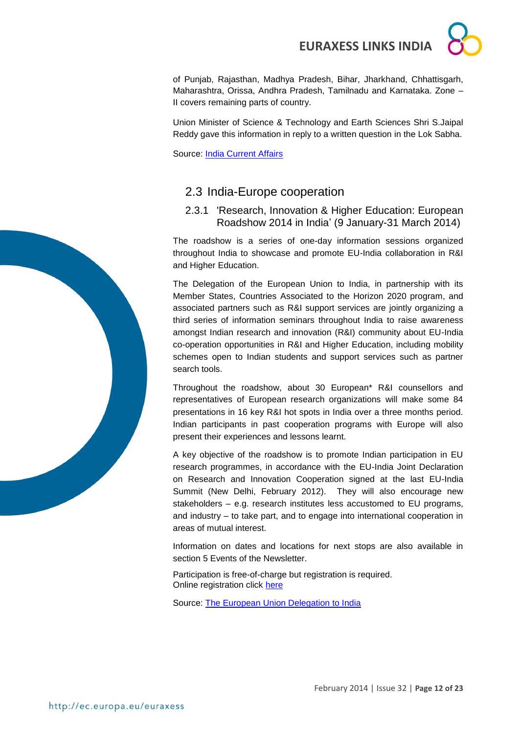of Punjab, Rajasthan, Madhya Pradesh, Bihar, Jharkhand, Chhattisgarh, Maharashtra, Orissa, Andhra Pradesh, Tamilnadu and Karnataka. Zone – II covers remaining parts of country.

Union Minister of Science & Technology and Earth Sciences Shri S.Jaipal Reddy gave this information in reply to a written question in the Lok Sabha.

Source: [India Current Affairs](http://indiacurrentaffairs.org/new-technological-skills-and-programmes-for-seismology-and-earthquake-prediction-related-research/)

## <span id="page-11-0"></span>2.3 India-Europe cooperation

<span id="page-11-1"></span>2.3.1 'Research, Innovation & Higher Education: European Roadshow 2014 in India' (9 January-31 March 2014)

The roadshow is a series of one-day information sessions organized throughout India to showcase and promote EU-India collaboration in R&I and Higher Education.

The Delegation of the European Union to India, in partnership with its Member States, Countries Associated to the Horizon 2020 program, and associated partners such as R&I support services are jointly organizing a third series of information seminars throughout India to raise awareness amongst Indian research and innovation (R&I) community about EU-India co-operation opportunities in R&I and Higher Education, including mobility schemes open to Indian students and support services such as partner search tools.

Throughout the roadshow, about 30 European\* R&I counsellors and representatives of European research organizations will make some 84 presentations in 16 key R&I hot spots in India over a three months period. Indian participants in past cooperation programs with Europe will also present their experiences and lessons learnt.

A key objective of the roadshow is to promote Indian participation in EU research programmes, in accordance with the EU-India Joint Declaration on Research and Innovation Cooperation signed at the last EU-India Summit (New Delhi, February 2012). They will also encourage new stakeholders – e.g. research institutes less accustomed to EU programs, and industry – to take part, and to engage into international cooperation in areas of mutual interest.

Information on dates and locations for next stops are also available in section 5 Events of the Newsletter.

Participation is free-of-charge but registration is required. Online registration click [here](http://www.euindiacoop.org/campaign2014/)

Source: [The European Union Delegation to India](http://eeas.europa.eu/delegations/india/eu_india/research_innovation/2014_en.htm)

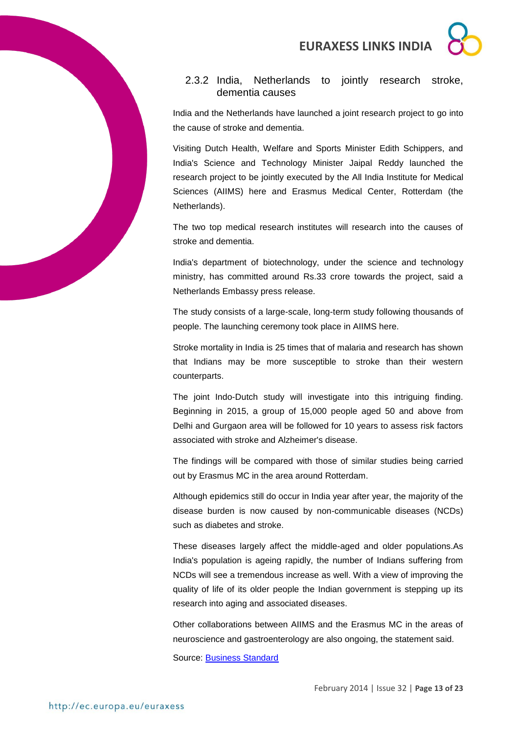## <span id="page-12-0"></span>2.3.2 India, Netherlands to jointly research stroke, dementia causes

India and the Netherlands have launched a joint research project to go into the cause of stroke and dementia.

Visiting Dutch Health, Welfare and Sports Minister Edith Schippers, and India's Science and Technology Minister Jaipal Reddy launched the research project to be jointly executed by the All India Institute for Medical Sciences (AIIMS) here and Erasmus Medical Center, Rotterdam (the Netherlands).

The two top medical research institutes will research into the causes of stroke and dementia.

India's department of biotechnology, under the science and technology ministry, has committed around Rs.33 crore towards the project, said a Netherlands Embassy press release.

The study consists of a large-scale, long-term study following thousands of people. The launching ceremony took place in AIIMS here.

Stroke mortality in India is 25 times that of malaria and research has shown that Indians may be more susceptible to stroke than their western counterparts.

The joint Indo-Dutch study will investigate into this intriguing finding. Beginning in 2015, a group of 15,000 people aged 50 and above from Delhi and Gurgaon area will be followed for 10 years to assess risk factors associated with stroke and Alzheimer's disease.

The findings will be compared with those of similar studies being carried out by Erasmus MC in the area around Rotterdam.

Although epidemics still do occur in India year after year, the majority of the disease burden is now caused by non-communicable diseases (NCDs) such as diabetes and stroke.

These diseases largely affect the middle-aged and older populations.As India's population is ageing rapidly, the number of Indians suffering from NCDs will see a tremendous increase as well. With a view of improving the quality of life of its older people the Indian government is stepping up its research into aging and associated diseases.

Other collaborations between AIIMS and the Erasmus MC in the areas of neuroscience and gastroenterology are also ongoing, the statement said.

Source: [Business Standard](http://www.business-standard.com/article/printer-friendly-version?article_id=114013001388_1)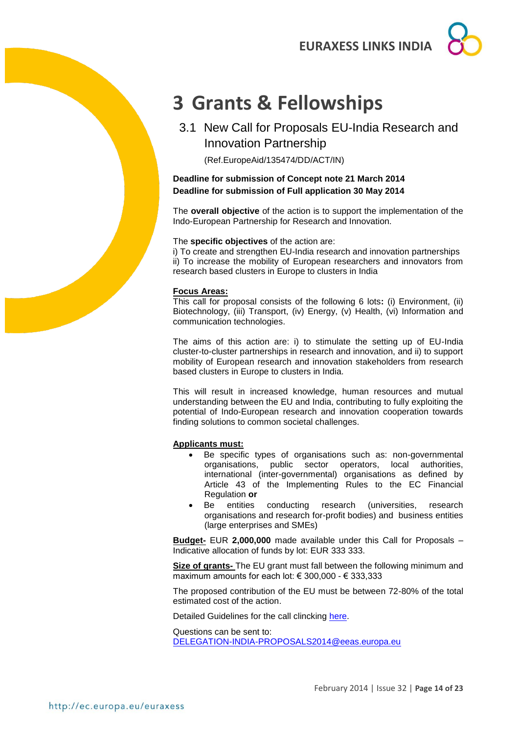## <span id="page-13-0"></span>**3 Grants & Fellowships**

<span id="page-13-1"></span>3.1 New Call for Proposals EU-India Research and Innovation Partnership

(Ref.EuropeAid/135474/DD/ACT/IN)

### **Deadline for submission of Concept note 21 March 2014 Deadline for submission of Full application 30 May 2014**

The **overall objective** of the action is to support the implementation of the Indo-European Partnership for Research and Innovation.

#### The **specific objectives** of the action are:

i) To create and strengthen EU-India research and innovation partnerships ii) To increase the mobility of European researchers and innovators from research based clusters in Europe to clusters in India

#### **Focus Areas:**

This call for proposal consists of the following 6 lots**:** (i) Environment, (ii) Biotechnology, (iii) Transport, (iv) Energy, (v) Health, (vi) Information and communication technologies.

The aims of this action are: i) to stimulate the setting up of EU-India cluster-to-cluster partnerships in research and innovation, and ii) to support mobility of European research and innovation stakeholders from research based clusters in Europe to clusters in India.

This will result in increased knowledge, human resources and mutual understanding between the EU and India, contributing to fully exploiting the potential of Indo-European research and innovation cooperation towards finding solutions to common societal challenges.

#### **Applicants must:**

- Be specific types of organisations such as: non-governmental organisations, public sector operators, local authorities, international (inter-governmental) organisations as defined by Article 43 of the Implementing Rules to the EC Financial Regulation **or**
- Be entities conducting research (universities, research organisations and research for-profit bodies) and business entities (large enterprises and SMEs)

**Budget-** EUR **2,000,000** made available under this Call for Proposals – Indicative allocation of funds by lot: EUR 333 333.

**Size of grants-** The EU grant must fall between the following minimum and maximum amounts for each lot: € 300,000 - € 333,333

The proposed contribution of the EU must be between 72-80% of the total estimated cost of the action.

Detailed Guidelines for the call clincking [here.](https://webgate.ec.europa.eu/europeaid/online-services/index.cfm?do=publi.welcome&nbPubliList=15&orderby=upd&orderbyad=Desc&searchtype=RS&aofr=135474)

Questions can be sent to: [DELEGATION-INDIA-PROPOSALS2014@eeas.europa.eu](mailto:DELEGATION-INDIA-PROPOSALS2014@eeas.europa.eu)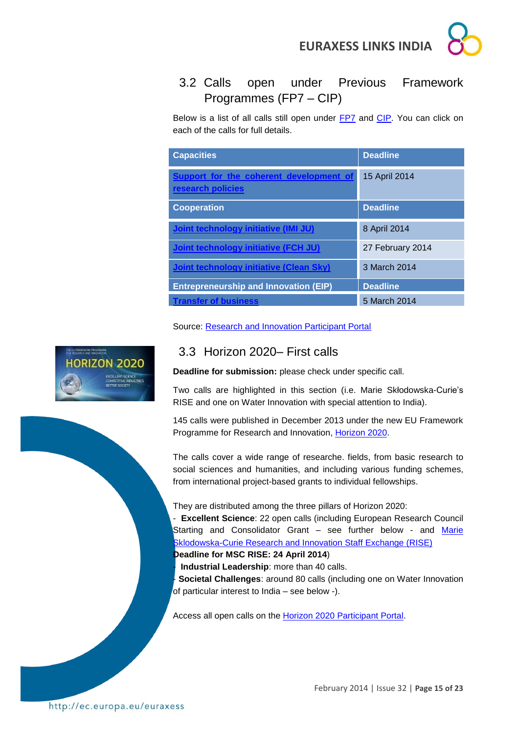

## <span id="page-14-0"></span>3.2 Calls open under Previous Framework Programmes (FP7 – CIP)

Below is a list of all calls still open under [FP7](http://ec.europa.eu/research/fp7/understanding/fp7inbrief/home_en.html) and [CIP.](http://ec.europa.eu/cip/) You can click on each of the calls for full details.

| <b>Capacities</b>                                            | <b>Deadline</b>  |  |
|--------------------------------------------------------------|------------------|--|
| Support for the coherent development of<br>research policies | 15 April 2014    |  |
| <b>Cooperation</b>                                           | <b>Deadline</b>  |  |
| Joint technology initiative (IMI JU)                         | 8 April 2014     |  |
| <b>Joint technology initiative (FCH JU)</b>                  | 27 February 2014 |  |
| <b>Joint technology initiative (Clean Sky)</b>               | 3 March 2014     |  |
| <b>Entrepreneurship and Innovation (EIP)</b>                 | <b>Deadline</b>  |  |
| <b>Transfer of business</b>                                  | 5 March 2014     |  |

Source: [Research and Innovation Participant Portal](http://ec.europa.eu/research/participants/portal/desktop/en/opportunities/fp7)



## <span id="page-14-1"></span>3.3 Horizon 2020– First calls

**Deadline for submission:** please check under specific call.

Two calls are highlighted in this section (i.e. Marie Skłodowska-Curie's RISE and one on Water Innovation with special attention to India).

145 calls were published in December 2013 under the new EU Framework Programme for Research and Innovation, [Horizon 2020.](http://ec.europa.eu/programmes/horizon2020/en/)

The calls cover a wide range of researche. fields, from basic research to social sciences and humanities, and including various funding schemes, from international project-based grants to individual fellowships.

They are distributed among the three pillars of Horizon 2020:

- **Excellent Science**: 22 open calls (including European Research Council Starting and Consolidator Grant *–* see further below - and [Marie](http://ec.europa.eu/research/participants/portal/desktop/en/opportunities/h2020/calls/h2020-msca-rise-2014.html)  [Sklodowska-Curie Research and Innovation Staff Exchange \(RISE\)](http://ec.europa.eu/research/participants/portal/desktop/en/opportunities/h2020/calls/h2020-msca-rise-2014.html)

**Deadline for MSC RISE: 24 April 2014**)

- **Industrial Leadership**: more than 40 calls.

- **Societal Challenges**: around 80 calls (including one on Water Innovation of particular interest to India – see below -).

Access all open calls on the [Horizon 2020 Participant Portal.](http://ec.europa.eu/research/participants/portal/desktop/en/opportunities/h2020)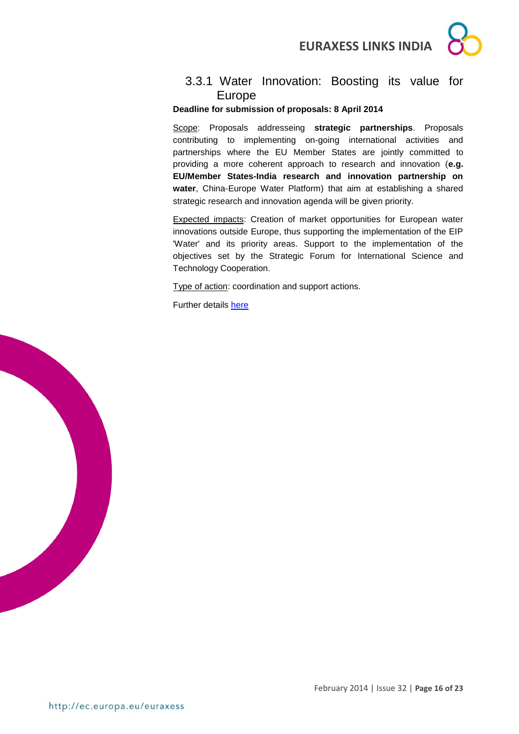

## <span id="page-15-0"></span>3.3.1 Water Innovation: Boosting its value for Europe

#### **Deadline for submission of proposals: 8 April 2014**

Scope: Proposals addresseing **strategic partnerships**. Proposals contributing to implementing on-going international activities and partnerships where the EU Member States are jointly committed to providing a more coherent approach to research and innovation (**e.g. EU/Member States-India research and innovation partnership on water**, China-Europe Water Platform) that aim at establishing a shared strategic research and innovation agenda will be given priority.

Expected impacts: Creation of market opportunities for European water innovations outside Europe, thus supporting the implementation of the EIP 'Water' and its priority areas. Support to the implementation of the objectives set by the Strategic Forum for International Science and Technology Cooperation.

Type of action: coordination and support actions.

Further details [here](http://ec.europa.eu/research/participants/portal/desktop/en/opportunities/h2020/topics/2576-water-5a-2014.html#tab1)

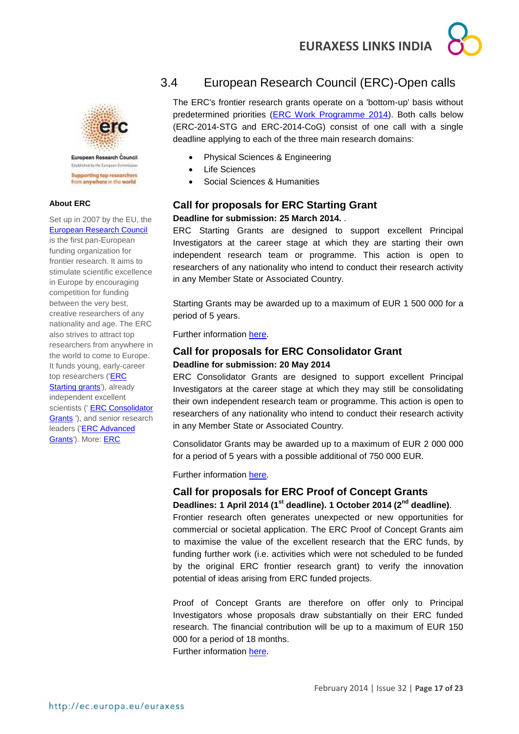



European Research Council Festivalent by the Furnisian Commission **Supporting top researchers** from anywhere in the world

#### **About ERC**

Set up in 2007 by the EU, the [European Research Council](http://erc.europa.eu/)

is the first pan-European funding organization for frontier research. It aims to stimulate scientific excellence in Europe by encouraging competition for funding between the very best, creative researchers of any nationality and age. The ERC also strives to attract top researchers from anywhere in the world to come to Europe. It funds young, early-career top researchers [\('ERC](http://erc.europa.eu/starting-grants)  [Starting grants'](http://erc.europa.eu/starting-grants)), already independent excellent scientists (' ERC Consolidator [Grants](http://erc.europa.eu/consolidator-grants) '), and senior research leaders [\('ERC Advanced](http://erc.europa.eu/advanced-grants)  [Grants'\)](http://erc.europa.eu/advanced-grants). More: [ERC](http://erc.europa.eu/) 

## <span id="page-16-0"></span>3.4 European Research Council (ERC)-Open calls

The ERC's frontier research grants operate on a 'bottom-up' basis without predetermined priorities [\(ERC Work Programme 2014\)](http://erc.europa.eu/sites/default/files/document/file/ERC_Work_Programme_2014.pdf). Both calls below (ERC-2014-STG and ERC-2014-CoG) consist of one call with a single deadline applying to each of the three main research domains:

- Physical Sciences & Engineering
- Life Sciences
- Social Sciences & Humanities

## **Call for proposals for ERC Starting Grant Deadline for submission: 25 March 2014.** .

ERC Starting Grants are designed to support excellent Principal Investigators at the career stage at which they are starting their own independent research team or programme. This action is open to researchers of any nationality who intend to conduct their research activity in any Member State or Associated Country.

Starting Grants may be awarded up to a maximum of EUR 1 500 000 for a period of 5 years.

Further information [here.](http://ec.europa.eu/research/participants/portal/desktop/en/opportunities/h2020/topics/55-erc-stg-2014.html)

### **Call for proposals for ERC Consolidator Grant Deadline for submission: 20 May 2014**

ERC Consolidator Grants are designed to support excellent Principal Investigators at the career stage at which they may still be consolidating their own independent research team or programme. This action is open to researchers of any nationality who intend to conduct their research activity in any Member State or Associated Country.

Consolidator Grants may be awarded up to a maximum of EUR 2 000 000 for a period of 5 years with a possible additional of 750 000 EUR.

Further information [here.](http://ec.europa.eu/research/participants/portal/desktop/en/opportunities/h2020/topics/76-erc-cog-2014.html)

## **Call for proposals for ERC Proof of Concept Grants**

**Deadlines: 1 April 2014 (1st deadline). 1 October 2014 (2nd deadline)**. Frontier research often generates unexpected or new opportunities for commercial or societal application. The ERC Proof of Concept Grants aim to maximise the value of the excellent research that the ERC funds, by funding further work (i.e. activities which were not scheduled to be funded by the original ERC frontier research grant) to verify the innovation potential of ideas arising from ERC funded projects.

Proof of Concept Grants are therefore on offer only to Principal Investigators whose proposals draw substantially on their ERC funded research. The financial contribution will be up to a maximum of EUR 150 000 for a period of 18 months.

Further information [here.](http://ec.europa.eu/research/participants/portal/desktop/en/opportunities/h2020/topics/56-erc-poc-2014.html)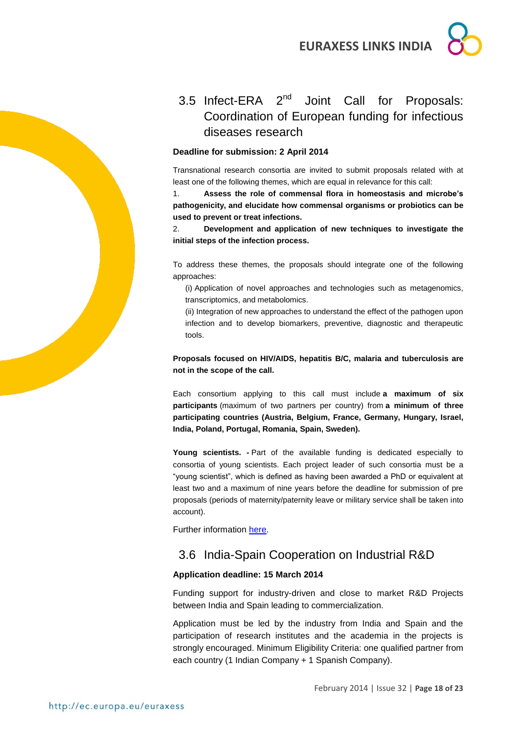## <span id="page-17-0"></span>3.5 Infect-ERA 2<sup>nd</sup> Joint Call for Proposals: Coordination of European funding for infectious diseases research

#### **Deadline for submission: 2 April 2014**

Transnational research consortia are invited to submit proposals related with at least one of the following themes, which are equal in relevance for this call:

1. **Assess the role of commensal flora in homeostasis and microbe's pathogenicity, and elucidate how commensal organisms or probiotics can be used to prevent or treat infections.**

2. **Development and application of new techniques to investigate the initial steps of the infection process.**

To address these themes, the proposals should integrate one of the following approaches:

(i) Application of novel approaches and technologies such as metagenomics, transcriptomics, and metabolomics.

(ii) Integration of new approaches to understand the effect of the pathogen upon infection and to develop biomarkers, preventive, diagnostic and therapeutic tools.

**Proposals focused on HIV/AIDS, hepatitis B/C, malaria and tuberculosis are not in the scope of the call.**

Each consortium applying to this call must include **a maximum of six participants** (maximum of two partners per country) from **a minimum of three participating countries (Austria, Belgium, France, Germany, Hungary, Israel, India, Poland, Portugal, Romania, Spain, Sweden).**

**Young scientists. -** Part of the available funding is dedicated especially to consortia of young scientists. Each project leader of such consortia must be a "young scientist", which is defined as having been awarded a PhD or equivalent at least two and a maximum of nine years before the deadline for submission of pre proposals (periods of maternity/paternity leave or military service shall be taken into account).

Further information [here.](https://www.submission-infect-era.eu/)

## <span id="page-17-1"></span>3.6 India-Spain Cooperation on Industrial R&D

#### **Application deadline: 15 March 2014**

Funding support for industry-driven and close to market R&D Projects between India and Spain leading to commercialization.

Application must be led by the industry from India and Spain and the participation of research institutes and the academia in the projects is strongly encouraged. Minimum Eligibility Criteria: one qualified partner from each country (1 Indian Company + 1 Spanish Company).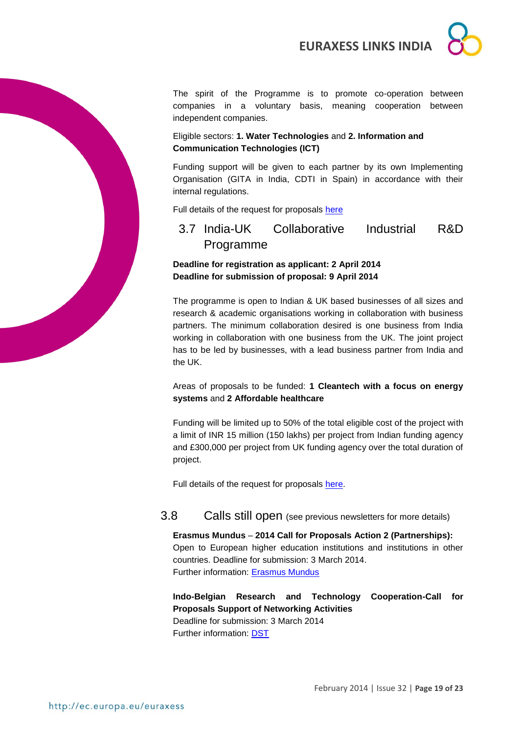

The spirit of the Programme is to promote co-operation between companies in a voluntary basis, meaning cooperation between independent companies.

### Eligible sectors: **1. Water Technologies** and **2. Information and Communication Technologies (ICT)**

Funding support will be given to each partner by its own Implementing Organisation (GITA in India, CDTI in Spain) in accordance with their internal regulations.

Full details of the request for proposals [here](http://gita.org.in/funding_India-Spain.html)

<span id="page-18-0"></span>3.7 India-UK Collaborative Industrial R&D Programme

## **Deadline for registration as applicant: 2 April 2014 Deadline for submission of proposal: 9 April 2014**

The programme is open to Indian & UK based businesses of all sizes and research & academic organisations working in collaboration with business partners. The minimum collaboration desired is one business from India working in collaboration with one business from the UK. The joint project has to be led by businesses, with a lead business partner from India and the UK.

Areas of proposals to be funded: **1 Cleantech with a focus on energy systems** and **2 Affordable healthcare**

Funding will be limited up to 50% of the total eligible cost of the project with a limit of INR 15 million (150 lakhs) per project from Indian funding agency and £300,000 per project from UK funding agency over the total duration of project.

Full details of the request for proposals [here.](http://gita.org.in/funding_India-UK.html)

## <span id="page-18-1"></span>3.8 Calls still open (see previous newsletters for more details)

**Erasmus Mundus** – **2014 Call for Proposals Action 2 (Partnerships):** Open to European higher education institutions and institutions in other countries. Deadline for submission: 3 March 2014. Further information: [Erasmus Mundus](http://eacea.ec.europa.eu/erasmus_mundus/funding/higher_education_institutions_en.php)

**Indo-Belgian Research and Technology Cooperation-Call for Proposals Support of Networking Activities** Deadline for submission: 3 March 2014 Further information: [DST](http://www.dst.gov.in/whats_new/whats_new13/cop_belcall2014.pdf)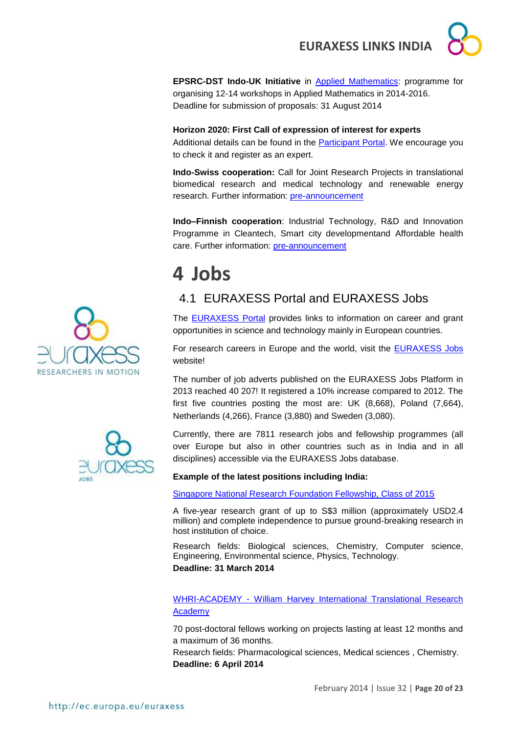

**EPSRC-DST Indo-UK Initiative** in [Applied Mathematics:](http://www.icms.org.uk/proposals/indo-uk_info) programme for organising 12-14 workshops in Applied Mathematics in 2014-2016. Deadline for submission of proposals: 31 August 2014

## **Horizon 2020: First Call of expression of interest for experts**

Additional details can be found in the [Participant Portal.](http://ec.europa.eu/research/participants/portal/desktop/en/experts/index.html) We encourage you to check it and register as an expert.

**Indo-Swiss cooperation:** Call for Joint Research Projects in translational biomedical research and medical technology and renewable energy research. Further information: [pre-announcement](http://indo-swiss.epfl.ch/opencalls)

**Indo–Finnish cooperation**: Industrial Technology, R&D and Innovation Programme in Cleantech, Smart city developmentand Affordable health care. Further information: [pre-announcement](http://gita.org.in/Upload/CallProposal/Preannouncement_DST_Tekes_RFP_(Final).pdf)

## <span id="page-19-0"></span>**4 Jobs**

## <span id="page-19-1"></span>4.1 EURAXESS Portal and EURAXESS Jobs

The [EURAXESS](http://ec.europa.eu/euraxess/index.cfm/general/index) Portal provides links to information on career and grant opportunities in science and technology mainly in European countries.

For research careers in Europe and the world, visit the [EURAXESS Jobs](http://ec.europa.eu/euraxess/index.cfm/jobs/jvSearch) website!

The number of job adverts published on the EURAXESS Jobs Platform in 2013 reached 40 207! It registered a 10% increase compared to 2012. The first five countries posting the most are: UK (8,668), Poland (7,664), Netherlands (4,266), France (3,880) and Sweden (3,080).

Currently, there are 7811 research jobs and fellowship programmes (all over Europe but also in other countries such as in India and in all disciplines) accessible via the EURAXESS Jobs database.

**Example of the latest positions including India:**

[Singapore National Research Foundation Fellowship, Class of 2015](https://rita.nrf.gov.sg/AboutUs/NRF_Initiatives/nrff2015/default.aspx)

A five-year research grant of up to S\$3 million (approximately USD2.4 million) and complete independence to pursue ground-breaking research in host institution of choice.

Research fields: Biological sciences, Chemistry, Computer science, Engineering, Environmental science, Physics, Technology. **Deadline: 31 March 2014**

WHRI-ACADEMY - [William Harvey International Translational Research](http://www.whri-academy.eu/)  [Academy](http://www.whri-academy.eu/)

70 post-doctoral fellows working on projects lasting at least 12 months and a maximum of 36 months.

Research fields: Pharmacological sciences, Medical sciences , Chemistry. **Deadline: 6 April 2014**



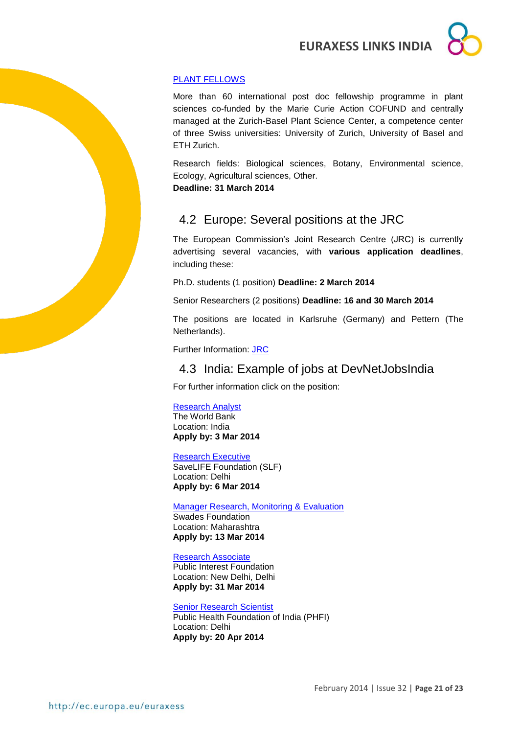

## [PLANT FELLOWS](http://ec.europa.eu/euraxess/index.cfm/jobs/fgDetails/30756)

More than 60 international post doc fellowship programme in plant sciences co-funded by the Marie Curie Action COFUND and centrally managed at the Zurich-Basel Plant Science Center, a competence center of three Swiss universities: University of Zurich, University of Basel and ETH Zurich.

Research fields: Biological sciences, Botany, Environmental science, Ecology, Agricultural sciences, Other.

**Deadline: 31 March 2014**

## <span id="page-20-0"></span>4.2 Europe: Several positions at the JRC

The European Commission's Joint Research Centre (JRC) is currently advertising several vacancies, with **various application deadlines**, including these:

Ph.D. students (1 position) **Deadline: 2 March 2014**

Senior Researchers (2 positions) **Deadline: 16 and 30 March 2014**

The positions are located in Karlsruhe (Germany) and Pettern (The Netherlands).

Further Information: [JRC](http://ec.europa.eu/dgs/jrc/index.cfm?id=3720)

## <span id="page-20-1"></span>4.3 India: Example of jobs at DevNetJobsIndia

For further information click on the position:

#### [Research Analyst](http://www.devnetjobsindia.org/jobdescription.aspx?job_id=29489)

The World Bank Location: India **Apply by: 3 Mar 2014**

#### [Research Executive](http://www.devnetjobsindia.org/jobdescription.aspx?job_id=29333)

SaveLIFE Foundation (SLF) Location: Delhi **Apply by: 6 Mar 2014**

[Manager Research, Monitoring & Evaluation](http://www.devnetjobsindia.org/jobdescription.aspx?job_id=29578)

Swades Foundation Location: Maharashtra **Apply by: 13 Mar 2014**

#### [Research Associate](http://www.devnetjobsindia.org/jobdescription.aspx?job_id=29527)

Public Interest Foundation Location: New Delhi, Delhi **Apply by: 31 Mar 2014**

#### [Senior Research Scientist](http://www.devnetjobsindia.org/jobdescription.aspx?job_id=29979)

Public Health Foundation of India (PHFI) Location: Delhi **Apply by: 20 Apr 2014**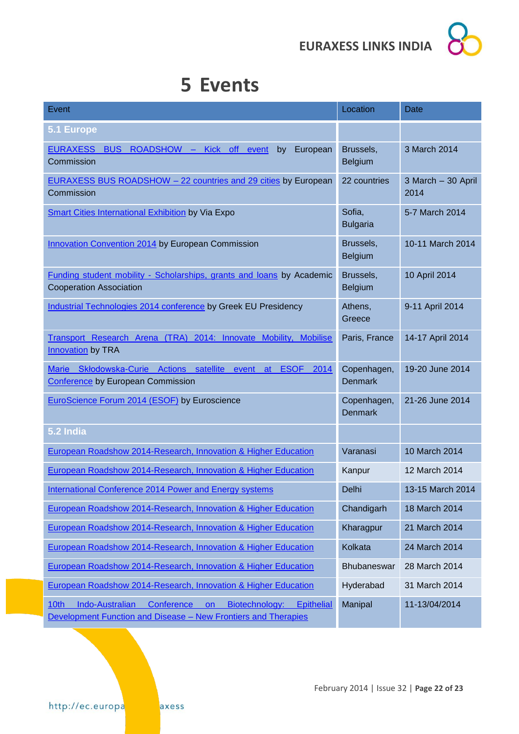

## <span id="page-21-0"></span>**5 Events**

| Event                                                                                                                                                         | Location                      | <b>Date</b>                |
|---------------------------------------------------------------------------------------------------------------------------------------------------------------|-------------------------------|----------------------------|
| 5.1 Europe                                                                                                                                                    |                               |                            |
| ROADSHOW - Kick off<br>European<br><b>EURAXESS</b><br><b>BUS</b><br>event<br>by<br>Commission                                                                 | Brussels,<br><b>Belgium</b>   | 3 March 2014               |
| <b>EURAXESS BUS ROADSHOW - 22 countries and 29 cities by European</b><br>Commission                                                                           | 22 countries                  | 3 March - 30 April<br>2014 |
| <b>Smart Cities International Exhibition by Via Expo</b>                                                                                                      | Sofia,<br><b>Bulgaria</b>     | 5-7 March 2014             |
| <b>Innovation Convention 2014 by European Commission</b>                                                                                                      | Brussels,<br><b>Belgium</b>   | 10-11 March 2014           |
| Funding student mobility - Scholarships, grants and loans by Academic<br><b>Cooperation Association</b>                                                       | Brussels,<br><b>Belgium</b>   | 10 April 2014              |
| Industrial Technologies 2014 conference by Greek EU Presidency                                                                                                | Athens,<br>Greece             | 9-11 April 2014            |
| Transport Research Arena (TRA) 2014: Innovate Mobility, Mobilise<br><b>Innovation</b> by TRA                                                                  | Paris, France                 | 14-17 April 2014           |
| Marie Skłodowska-Curie Actions satellite event<br><b>ESOF 2014</b><br>at<br><b>Conference by European Commission</b>                                          | Copenhagen,<br><b>Denmark</b> | 19-20 June 2014            |
| EuroScience Forum 2014 (ESOF) by Euroscience                                                                                                                  | Copenhagen,<br><b>Denmark</b> | 21-26 June 2014            |
| 5.2 India                                                                                                                                                     |                               |                            |
| European Roadshow 2014-Research, Innovation & Higher Education                                                                                                | Varanasi                      | 10 March 2014              |
| European Roadshow 2014-Research, Innovation & Higher Education                                                                                                | Kanpur                        | 12 March 2014              |
| <b>International Conference 2014 Power and Energy systems</b>                                                                                                 | Delhi                         | 13-15 March 2014           |
| European Roadshow 2014-Research, Innovation & Higher Education                                                                                                | Chandigarh                    | 18 March 2014              |
| European Roadshow 2014-Research, Innovation & Higher Education                                                                                                | Kharagpur                     | 21 March 2014              |
| European Roadshow 2014-Research, Innovation & Higher Education                                                                                                | Kolkata                       | 24 March 2014              |
| European Roadshow 2014-Research, Innovation & Higher Education                                                                                                | Bhubaneswar                   | 28 March 2014              |
| European Roadshow 2014-Research, Innovation & Higher Education                                                                                                | Hyderabad                     | 31 March 2014              |
| Conference<br>Biotechnology:<br><b>Epithelial</b><br><b>Indo-Australian</b><br>on a<br>10th<br>Development Function and Disease - New Frontiers and Therapies | Manipal                       | 11-13/04/2014              |